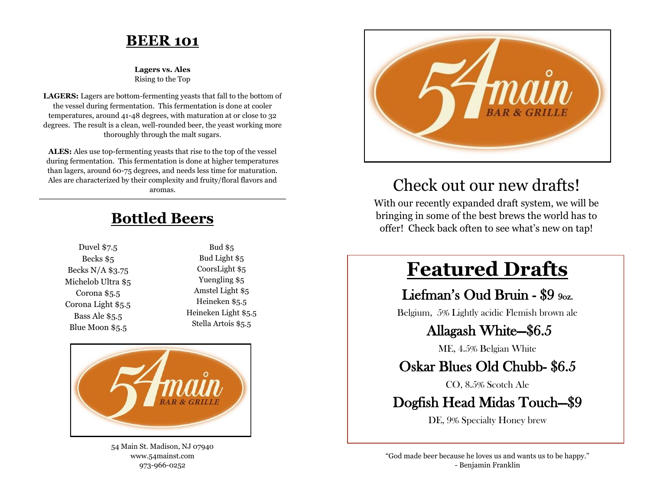#### **BEER 101**

**Lagers vs. Ales**  Rising to the Top

**LAGERS:** Lagers are bottom-fermenting yeasts that fall to the bottom of the vessel during fermentation. This fermentation is done at cooler temperatures, around 41-48 degrees, with maturation at or close to 32 degrees. The result is a clean, well-rounded beer, the yeast working more thoroughly through the malt sugars.

**ALES:** Ales use top-fermenting yeasts that rise to the top of the vessel during fermentation. This fermentation is done at higher temperatures than lagers, around 60-75 degrees, and needs less time for maturation. Ales are characterized by their complexity and fruity/floral flavors and aromas.

## **Bottled Beers**

Duvel \$7.5 Becks \$5 Becks N/A \$3.75 Michelob Ultra \$5 Corona \$5.5 Corona Light \$5.5 Bass Ale \$5.5 Blue Moon \$5.5

Bud \$5 Bud Light \$5 CoorsLight \$5 Yuengling \$5 Amstel Light \$5 Heineken \$5.5 Heineken Light \$5.5 Stella Artois \$5.5



54 Main St. Madison, NJ 07940 www.54mainst.com 973-966-0252



# Check out our new drafts!

With our recently expanded draft system, we will be bringing in some of the best brews the world has to offer! Check back often to see what's new on tap!

# **Featured Drafts**

#### Liefman's Oud Bruin - \$9 9oz.

Belgium, 5% Lightly acidic Flemish brown ale

#### Allagash White—\$6.5

ME, 4.5% Belgian White

### Oskar Blues Old Chubb- \$6.5

CO, 8.5% Scotch Ale

#### Dogfish Head Midas Touch—\$9

DE, 9% Specialty Honey brew

"God made beer because he loves us and wants us to be happy." - Benjamin Franklin